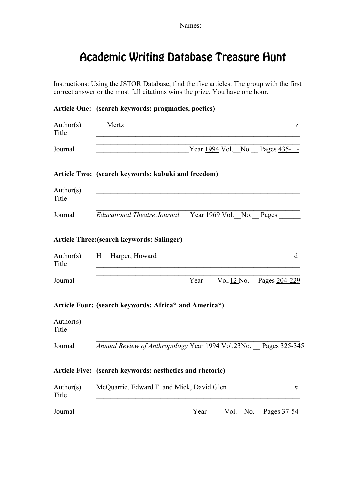# Academic Writing Database Treasure Hunt

Instructions: Using the JSTOR Database, find the five articles. The group with the first correct answer or the most full citations wins the prize. You have one hour.

| Article One: (search keywords: pragmatics, poetics) |  |  |
|-----------------------------------------------------|--|--|
|                                                     |  |  |

| Author(s)<br>Title     | Mertz                                                    | <u> 1989 - John Stein, Amerikaansk politiker († 1908)</u>                                                                                                                                                                                     | z                |
|------------------------|----------------------------------------------------------|-----------------------------------------------------------------------------------------------------------------------------------------------------------------------------------------------------------------------------------------------|------------------|
| Journal                |                                                          | Year 1994 Vol. No. Pages 435-                                                                                                                                                                                                                 |                  |
|                        | Article Two: (search keywords: kabuki and freedom)       |                                                                                                                                                                                                                                               |                  |
| Author( $s$ )<br>Title |                                                          | <u> 1989 - Johann Barbara, martxa alemaniar argumento de la contrada de la contrada de la contrada de la contrada</u><br><u> 1989 - Johann John Stone, markin film yn y brenin y brenin y brenin y brenin y brenin y brenin y brenin y br</u> |                  |
| Journal                |                                                          | <i>Educational Theatre Journal</i> Year 1969 Vol. No. Pages                                                                                                                                                                                   |                  |
|                        | Article Three: (search keywords: Salinger)               |                                                                                                                                                                                                                                               |                  |
| Author(s)<br>Title     |                                                          | H Harper, Howard                                                                                                                                                                                                                              | d                |
| Journal                |                                                          | Year Vol.12 No. Pages 204-229                                                                                                                                                                                                                 |                  |
|                        | Article Four: (search keywords: Africa* and America*)    |                                                                                                                                                                                                                                               |                  |
| Author( $s$ )<br>Title |                                                          |                                                                                                                                                                                                                                               |                  |
| Journal                |                                                          | Annual Review of Anthropology Year 1994 Vol.23No. Pages 325-345                                                                                                                                                                               |                  |
|                        | Article Five: (search keywords: aesthetics and rhetoric) |                                                                                                                                                                                                                                               |                  |
| Author( $s$ )<br>Title |                                                          | McQuarrie, Edward F. and Mick, David Glen                                                                                                                                                                                                     | $\boldsymbol{n}$ |
| Journal                |                                                          | Year<br>Vol.<br>No.<br>Pages 37-54                                                                                                                                                                                                            |                  |